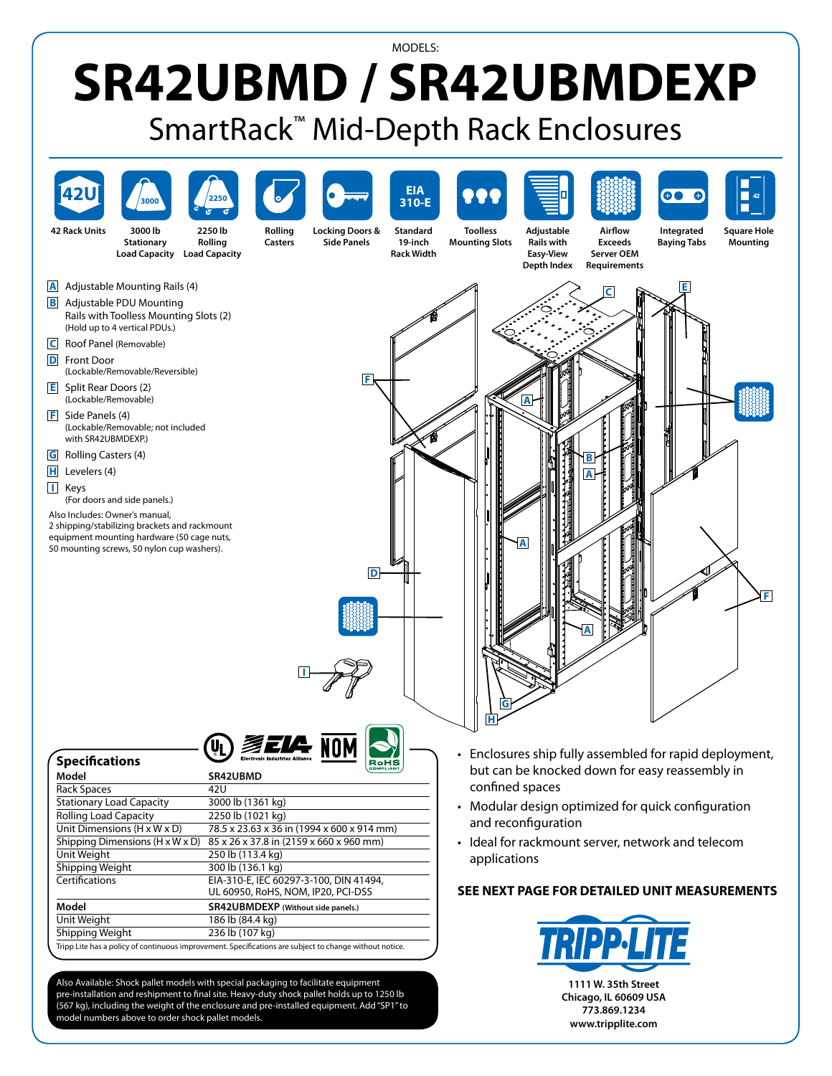## MODELS: **SR42UBMD / SR42UBMDEXP** SmartRack™ Mid-Depth Rack Enclosures



Also Available: Shock pallet models with special packaging to facilitate equipment pre-installation and reshipment to final site. Heavy-duty shock pallet holds up to 1250 lb (567 kg), including the weight of the enclosure and pre-installed equipment. Add"SP1"to model numbers above to order shock pallet models.

**1111 W. 35th Street Chicago, IL 60609 USA 773.869.1234 www.tripplite.com**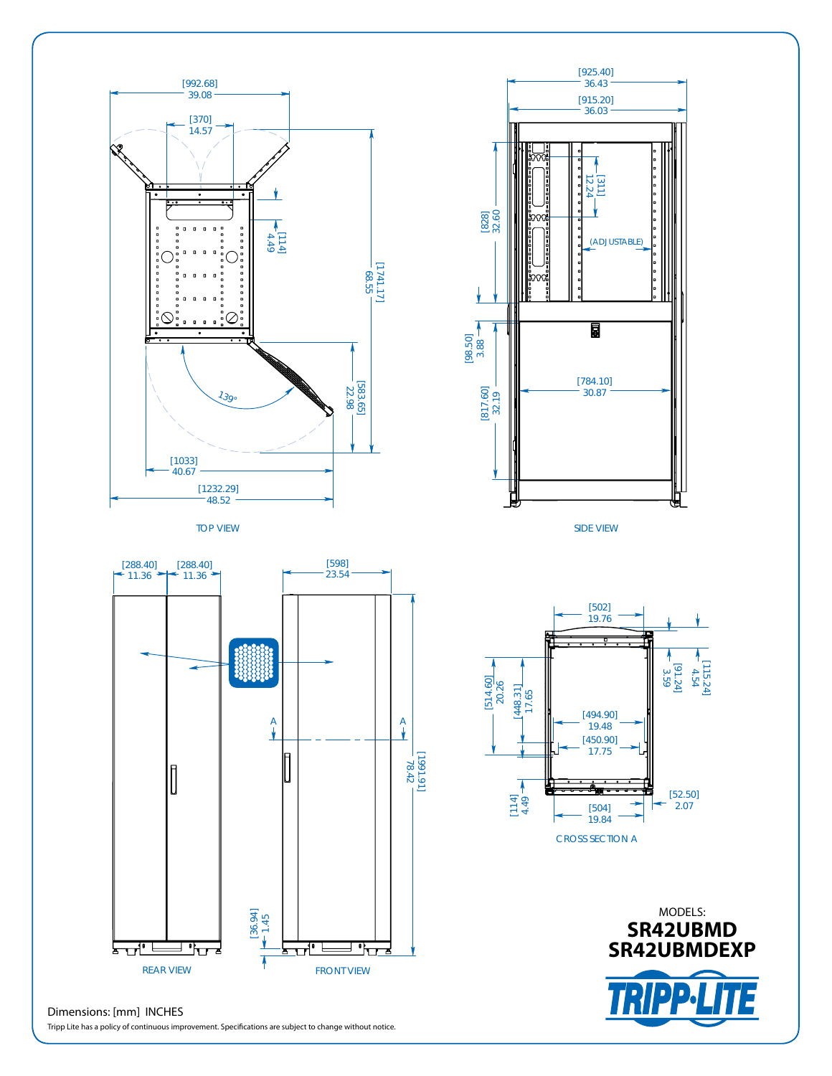



Dimensions: [mm] INCHES

Tripp Lite has a policy of continuous improvement. Specifications are subject to change without notice.